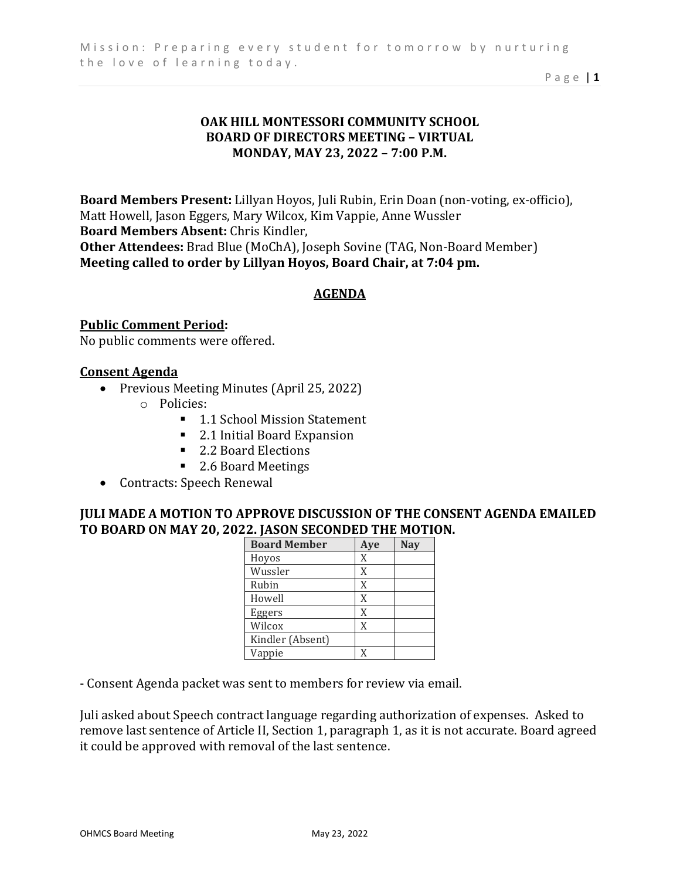Page | **1** 

# **OAK HILL MONTESSORI COMMUNITY SCHOOL BOARD OF DIRECTORS MEETING – VIRTUAL MONDAY, MAY 23, 2022 – 7:00 P.M.**

**Board Members Present:** Lillyan Hoyos, Juli Rubin, Erin Doan (non-voting, ex-officio), Matt Howell, Jason Eggers, Mary Wilcox, Kim Vappie, Anne Wussler **Board Members Absent:** Chris Kindler, **Other Attendees:** Brad Blue (MoChA), Joseph Sovine (TAG, Non-Board Member) **Meeting called to order by Lillyan Hoyos, Board Chair, at 7:04 pm.** 

### **AGENDA**

**Public Comment Period:**  No public comments were offered.

#### **Consent Agenda**

- Previous Meeting Minutes (April 25, 2022)
	- o Policies:
		- 1.1 School Mission Statement
		- 2.1 Initial Board Expansion
		- 2.2 Board Elections
		- 2.6 Board Meetings
- Contracts: Speech Renewal

### **JULI MADE A MOTION TO APPROVE DISCUSSION OF THE CONSENT AGENDA EMAILED TO BOARD ON MAY 20, 2022. JASON SECONDED THE MOTION.**

| <b>Board Member</b> | Aye | <b>Nay</b> |
|---------------------|-----|------------|
| Hoyos               | X   |            |
| Wussler             | X   |            |
| Rubin               | X   |            |
| Howell              | X   |            |
| Eggers              | X   |            |
| Wilcox              | X   |            |
| Kindler (Absent)    |     |            |
| Vappie              | X   |            |

- Consent Agenda packet was sent to members for review via email.

Juli asked about Speech contract language regarding authorization of expenses. Asked to remove last sentence of Article II, Section 1, paragraph 1, as it is not accurate. Board agreed it could be approved with removal of the last sentence.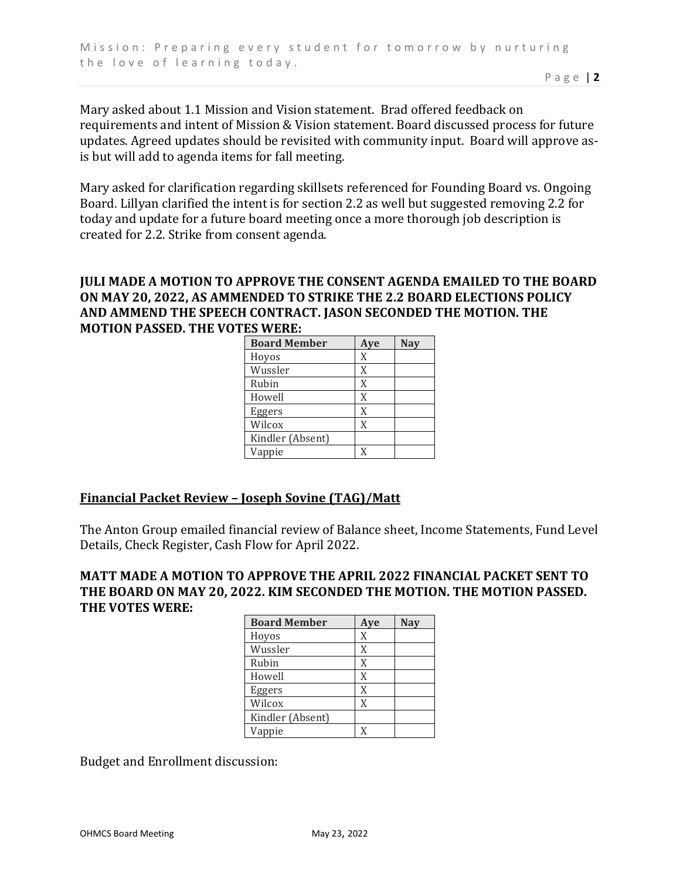Mary asked about 1.1 Mission and Vision statement. Brad offered feedback on requirements and intent of Mission & Vision statement. Board discussed process for future updates. Agreed updates should be revisited with community input. Board will approve asis but will add to agenda items for fall meeting.

Mary asked for clarification regarding skillsets referenced for Founding Board vs. Ongoing Board. Lillyan clarified the intent is for section 2.2 as well but suggested removing 2.2 for today and update for a future board meeting once a more thorough job description is created for 2.2. Strike from consent agenda.

### **JULI MADE A MOTION TO APPROVE THE CONSENT AGENDA EMAILED TO THE BOARD ON MAY 20, 2022, AS AMMENDED TO STRIKE THE 2.2 BOARD ELECTIONS POLICY AND AMMEND THE SPEECH CONTRACT. JASON SECONDED THE MOTION. THE MOTION PASSED. THE VOTES WERE:**

| <b>Board Member</b> | Aye | <b>Nay</b> |
|---------------------|-----|------------|
| Hoyos               | X   |            |
| Wussler             | X   |            |
| Rubin               | X   |            |
| Howell              | X   |            |
| Eggers              | X   |            |
| Wilcox              | X   |            |
| Kindler (Absent)    |     |            |
| Vappie              | X   |            |

# **Financial Packet Review – Joseph Sovine (TAG)/Matt**

The Anton Group emailed financial review of Balance sheet, Income Statements, Fund Level Details, Check Register, Cash Flow for April 2022.

### **MATT MADE A MOTION TO APPROVE THE APRIL 2022 FINANCIAL PACKET SENT TO THE BOARD ON MAY 20, 2022. KIM SECONDED THE MOTION. THE MOTION PASSED. THE VOTES WERE:**

| <b>Board Member</b> | Aye | <b>Nay</b> |
|---------------------|-----|------------|
| Hoyos               | X   |            |
| Wussler             | X   |            |
| Rubin               | X   |            |
| Howell              | X   |            |
| Eggers              | X   |            |
| Wilcox              | X   |            |
| Kindler (Absent)    |     |            |
| Vappie              | X   |            |

Budget and Enrollment discussion: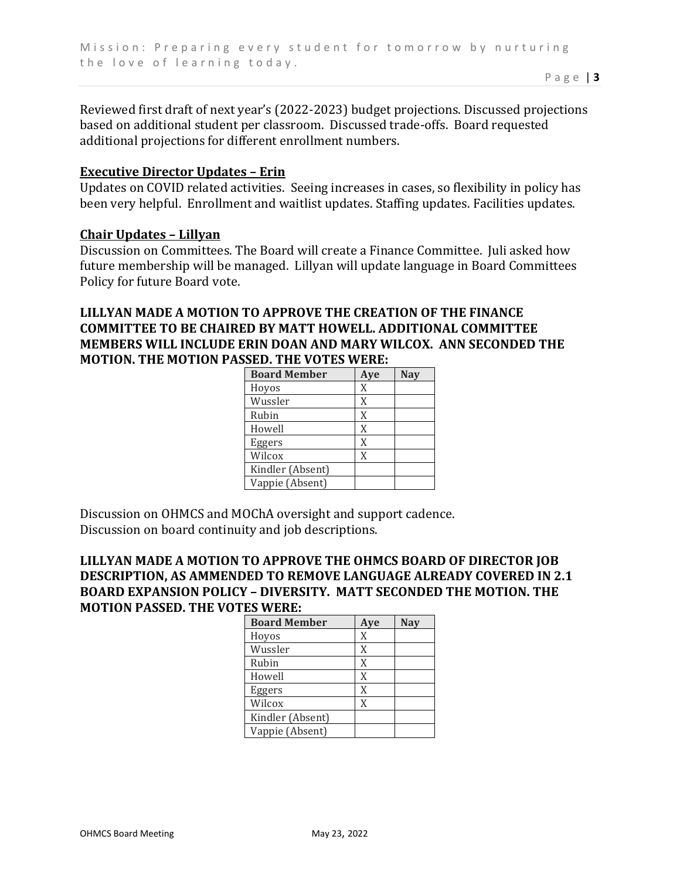Reviewed first draft of next year's (2022-2023) budget projections. Discussed projections based on additional student per classroom. Discussed trade-offs. Board requested additional projections for different enrollment numbers.

#### **Executive Director Updates – Erin**

Updates on COVID related activities. Seeing increases in cases, so flexibility in policy has been very helpful. Enrollment and waitlist updates. Staffing updates. Facilities updates.

#### **Chair Updates – Lillyan**

Discussion on Committees. The Board will create a Finance Committee. Juli asked how future membership will be managed. Lillyan will update language in Board Committees Policy for future Board vote.

### **LILLYAN MADE A MOTION TO APPROVE THE CREATION OF THE FINANCE COMMITTEE TO BE CHAIRED BY MATT HOWELL. ADDITIONAL COMMITTEE MEMBERS WILL INCLUDE ERIN DOAN AND MARY WILCOX. ANN SECONDED THE MOTION. THE MOTION PASSED. THE VOTES WERE:**

| <b>Board Member</b> | Aye | <b>Nay</b> |
|---------------------|-----|------------|
| Hoyos               | X   |            |
| Wussler             | X   |            |
| Rubin               | X   |            |
| Howell              | X   |            |
| Eggers              | X   |            |
| Wilcox              | X   |            |
| Kindler (Absent)    |     |            |
| Vappie (Absent)     |     |            |

Discussion on OHMCS and MOChA oversight and support cadence. Discussion on board continuity and job descriptions.

# **LILLYAN MADE A MOTION TO APPROVE THE OHMCS BOARD OF DIRECTOR JOB DESCRIPTION, AS AMMENDED TO REMOVE LANGUAGE ALREADY COVERED IN 2.1 BOARD EXPANSION POLICY – DIVERSITY. MATT SECONDED THE MOTION. THE MOTION PASSED. THE VOTES WERE:**

| <b>Board Member</b> | Aye | <b>Nay</b> |
|---------------------|-----|------------|
| Hoyos               | X   |            |
| Wussler             | X   |            |
| Rubin               | X   |            |
| Howell              | X   |            |
| Eggers              | X   |            |
| Wilcox              | X   |            |
| Kindler (Absent)    |     |            |
| Vappie (Absent)     |     |            |